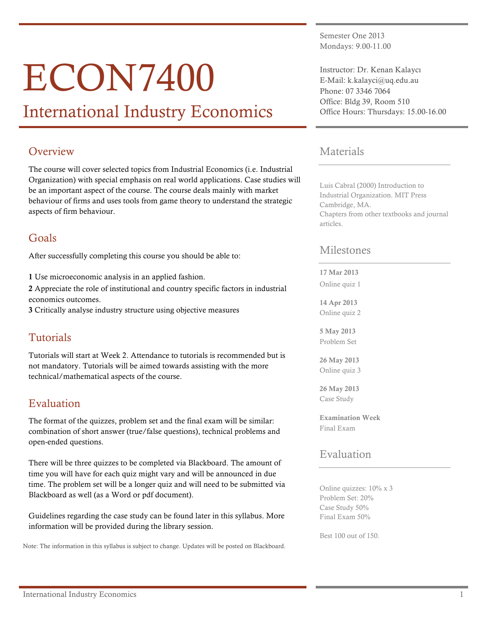# ECON7400

## International Industry Economics

## **Overview**

The course will cover selected topics from Industrial Economics (i.e. Industrial Organization) with special emphasis on real world applications. Case studies will be an important aspect of the course. The course deals mainly with market behaviour of firms and uses tools from game theory to understand the strategic aspects of firm behaviour.

## Goals

After successfully completing this course you should be able to:

1 Use microeconomic analysis in an applied fashion.

2 Appreciate the role of institutional and country specific factors in industrial economics outcomes.

3 Critically analyse industry structure using objective measures

## Tutorials

Tutorials will start at Week 2. Attendance to tutorials is recommended but is not mandatory. Tutorials will be aimed towards assisting with the more technical/mathematical aspects of the course.

## Evaluation

The format of the quizzes, problem set and the final exam will be similar: combination of short answer (true/false questions), technical problems and open-ended questions.

There will be three quizzes to be completed via Blackboard. The amount of time you will have for each quiz might vary and will be announced in due time. The problem set will be a longer quiz and will need to be submitted via Blackboard as well (as a Word or pdf document).

Guidelines regarding the case study can be found later in this syllabus. More information will be provided during the library session.

Note: The information in this syllabus is subject to change. Updates will be posted on Blackboard.

Semester One 2013 Mondays: 9.00-11.00

Instructor: Dr. Kenan Kalaycı E-Mail: k.kalayci@uq.edu.au Phone: 07 3346 7064 Office: Bldg 39, Room 510 Office Hours: Thursdays: 15.00-16.00

### Materials

Luis Cabral (2000) Introduction to Industrial Organization. MIT Press Cambridge, MA. Chapters from other textbooks and journal articles.

#### Milestones

#### 17 Mar 2013

Online quiz 1

14 Apr 2013 Online quiz 2

5 May 2013 Problem Set

26 May 2013 Online quiz 3

26 May 2013 Case Study

Examination Week Final Exam

## Evaluation

Online quizzes: 10% x 3 Problem Set: 20% Case Study 50% Final Exam 50%

Best 100 out of 150.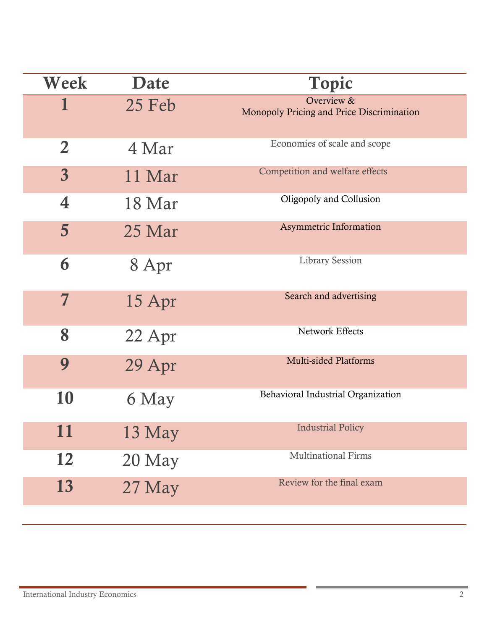| Week                    | Date     | <b>Topic</b>                                            |
|-------------------------|----------|---------------------------------------------------------|
|                         | $25$ Feb | Overview &<br>Monopoly Pricing and Price Discrimination |
| $\overline{2}$          | 4 Mar    | Economies of scale and scope                            |
| $\overline{\mathbf{3}}$ | 11 Mar   | Competition and welfare effects                         |
| 4                       | 18 Mar   | Oligopoly and Collusion                                 |
| $5\overline{)}$         | 25 Mar   | <b>Asymmetric Information</b>                           |
| 6                       | 8 Apr    | <b>Library Session</b>                                  |
| 7                       | 15 Apr   | Search and advertising                                  |
| 8                       | 22 Apr   | Network Effects                                         |
| 9                       | 29 Apr   | <b>Multi-sided Platforms</b>                            |
| 10                      | 6 May    | Behavioral Industrial Organization                      |
| $\rightarrow$<br>11     | 13 May   | <b>Industrial Policy</b>                                |
| 12                      | 20 May   | <b>Multinational Firms</b>                              |
| 13                      | 27 May   | Review for the final exam                               |

×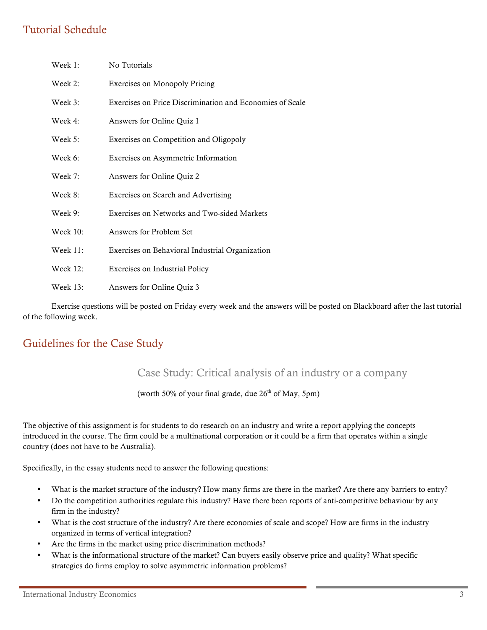## Tutorial Schedule

| Week 1:         | No Tutorials                                             |  |
|-----------------|----------------------------------------------------------|--|
| Week 2:         | <b>Exercises on Monopoly Pricing</b>                     |  |
| Week 3:         | Exercises on Price Discrimination and Economies of Scale |  |
| Week 4:         | Answers for Online Quiz 1                                |  |
| Week 5:         | Exercises on Competition and Oligopoly                   |  |
| Week 6:         | Exercises on Asymmetric Information                      |  |
| Week 7:         | Answers for Online Quiz 2                                |  |
| Week 8:         | Exercises on Search and Advertising                      |  |
| Week 9:         | Exercises on Networks and Two-sided Markets              |  |
| <b>Week 10:</b> | Answers for Problem Set                                  |  |
| Week 11:        | Exercises on Behavioral Industrial Organization          |  |
| <b>Week 12:</b> | <b>Exercises on Industrial Policy</b>                    |  |
| Week 13:        | Answers for Online Quiz 3                                |  |

Exercise questions will be posted on Friday every week and the answers will be posted on Blackboard after the last tutorial of the following week.

## Guidelines for the Case Study

#### Case Study: Critical analysis of an industry or a company

#### (worth 50% of your final grade, due  $26<sup>th</sup>$  of May, 5pm)

The objective of this assignment is for students to do research on an industry and write a report applying the concepts introduced in the course. The firm could be a multinational corporation or it could be a firm that operates within a single country (does not have to be Australia).

Specifically, in the essay students need to answer the following questions:

- What is the market structure of the industry? How many firms are there in the market? Are there any barriers to entry?
- Do the competition authorities regulate this industry? Have there been reports of anti-competitive behaviour by any firm in the industry?
- What is the cost structure of the industry? Are there economies of scale and scope? How are firms in the industry organized in terms of vertical integration?
- Are the firms in the market using price discrimination methods?
- What is the informational structure of the market? Can buyers easily observe price and quality? What specific strategies do firms employ to solve asymmetric information problems?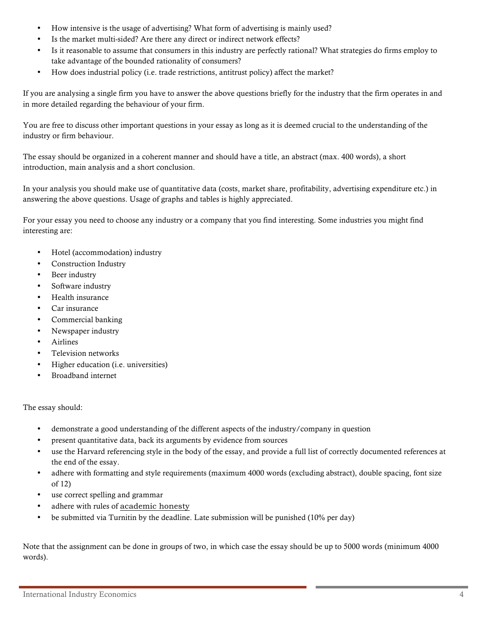- How intensive is the usage of advertising? What form of advertising is mainly used?
- Is the market multi-sided? Are there any direct or indirect network effects?
- Is it reasonable to assume that consumers in this industry are perfectly rational? What strategies do firms employ to take advantage of the bounded rationality of consumers?
- How does industrial policy (i.e. trade restrictions, antitrust policy) affect the market?

If you are analysing a single firm you have to answer the above questions briefly for the industry that the firm operates in and in more detailed regarding the behaviour of your firm.

You are free to discuss other important questions in your essay as long as it is deemed crucial to the understanding of the industry or firm behaviour.

The essay should be organized in a coherent manner and should have a title, an abstract (max. 400 words), a short introduction, main analysis and a short conclusion.

In your analysis you should make use of quantitative data (costs, market share, profitability, advertising expenditure etc.) in answering the above questions. Usage of graphs and tables is highly appreciated.

For your essay you need to choose any industry or a company that you find interesting. Some industries you might find interesting are:

- Hotel (accommodation) industry
- Construction Industry
- Beer industry
- Software industry
- Health insurance
- Car insurance
- Commercial banking
- Newspaper industry
- **Airlines**
- Television networks
- Higher education (i.e. universities)
- Broadband internet

#### The essay should:

- demonstrate a good understanding of the different aspects of the industry/company in question
- present quantitative data, back its arguments by evidence from sources
- use the Harvard referencing style in the body of the essay, and provide a full list of correctly documented references at the end of the essay.
- adhere with formatting and style requirements (maximum 4000 words (excluding abstract), double spacing, font size of 12)
- use correct spelling and grammar
- adhere with rules of academic honesty
- be submitted via Turnitin by the deadline. Late submission will be punished (10% per day)

Note that the assignment can be done in groups of two, in which case the essay should be up to 5000 words (minimum 4000 words).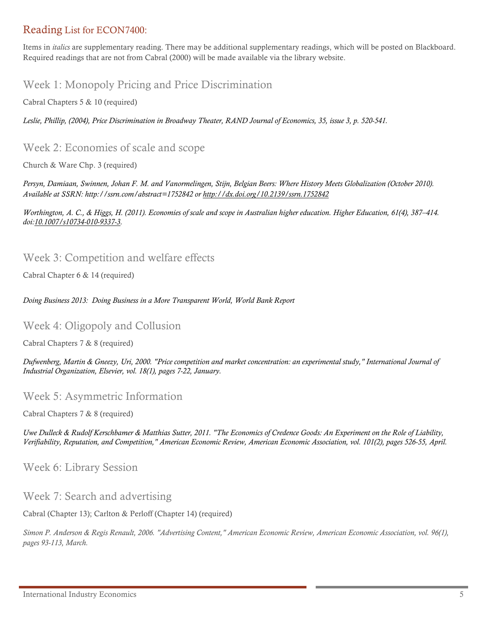## Reading List for ECON7400:

Items in *italics* are supplementary reading. There may be additional supplementary readings, which will be posted on Blackboard. Required readings that are not from Cabral (2000) will be made available via the library website.

## Week 1: Monopoly Pricing and Price Discrimination

Cabral Chapters 5 & 10 (required)

*Leslie, Phillip, (2004), Price Discrimination in Broadway Theater, RAND Journal of Economics, 35, issue 3, p. 520-541.* 

#### Week 2: Economies of scale and scope

Church & Ware Chp. 3 (required)

*Persyn, Damiaan, Swinnen, Johan F. M. and Vanormelingen, Stijn, Belgian Beers: Where History Meets Globalization (October 2010). Available at SSRN: http://ssrn.com/abstract=1752842 or http://dx.doi.org/10.2139/ssrn.1752842*

*Worthington, A. C., & Higgs, H. (2011). Economies of scale and scope in Australian higher education. Higher Education, 61(4), 387–414. doi:10.1007/s10734-010-9337-3.* 

#### Week 3: Competition and welfare effects

Cabral Chapter 6 & 14 (required)

*Doing Business 2013: Doing Business in a More Transparent World, World Bank Report*

#### Week 4: Oligopoly and Collusion

Cabral Chapters 7 & 8 (required)

*Dufwenberg, Martin & Gneezy, Uri, 2000. "Price competition and market concentration: an experimental study," International Journal of Industrial Organization, Elsevier, vol. 18(1), pages 7-22, January.*

#### Week 5: Asymmetric Information

Cabral Chapters 7 & 8 (required)

*Uwe Dulleck & Rudolf Kerschbamer & Matthias Sutter, 2011. "The Economics of Credence Goods: An Experiment on the Role of Liability, Verifiability, Reputation, and Competition," American Economic Review, American Economic Association, vol. 101(2), pages 526-55, April.*

Week 6: Library Session

Week 7: Search and advertising

Cabral (Chapter 13); Carlton & Perloff (Chapter 14) (required)

*Simon P. Anderson & Regis Renault, 2006. "Advertising Content," American Economic Review, American Economic Association, vol. 96(1), pages 93-113, March.*